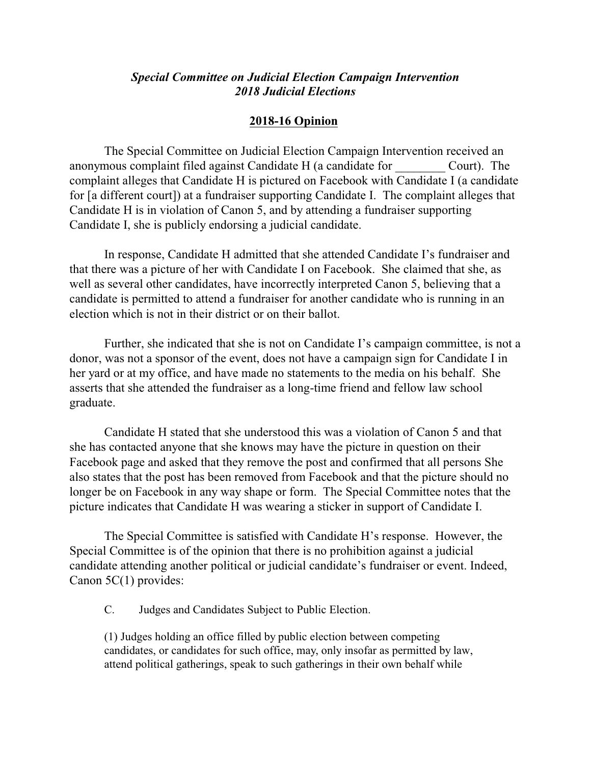## *Special Committee on Judicial Election Campaign Intervention 2018 Judicial Elections*

## **2018-16 Opinion**

The Special Committee on Judicial Election Campaign Intervention received an anonymous complaint filed against Candidate H (a candidate for Court). The complaint alleges that Candidate H is pictured on Facebook with Candidate I (a candidate for [a different court]) at a fundraiser supporting Candidate I. The complaint alleges that Candidate H is in violation of Canon 5, and by attending a fundraiser supporting Candidate I, she is publicly endorsing a judicial candidate.

In response, Candidate H admitted that she attended Candidate I's fundraiser and that there was a picture of her with Candidate I on Facebook. She claimed that she, as well as several other candidates, have incorrectly interpreted Canon 5, believing that a candidate is permitted to attend a fundraiser for another candidate who is running in an election which is not in their district or on their ballot.

Further, she indicated that she is not on Candidate I's campaign committee, is not a donor, was not a sponsor of the event, does not have a campaign sign for Candidate I in her yard or at my office, and have made no statements to the media on his behalf. She asserts that she attended the fundraiser as a long-time friend and fellow law school graduate.

Candidate H stated that she understood this was a violation of Canon 5 and that she has contacted anyone that she knows may have the picture in question on their Facebook page and asked that they remove the post and confirmed that all persons She also states that the post has been removed from Facebook and that the picture should no longer be on Facebook in any way shape or form. The Special Committee notes that the picture indicates that Candidate H was wearing a sticker in support of Candidate I.

The Special Committee is satisfied with Candidate H's response. However, the Special Committee is of the opinion that there is no prohibition against a judicial candidate attending another political or judicial candidate's fundraiser or event. Indeed, Canon 5C(1) provides:

C. Judges and Candidates Subject to Public Election.

(1) Judges holding an office filled by public election between competing candidates, or candidates for such office, may, only insofar as permitted by law, attend political gatherings, speak to such gatherings in their own behalf while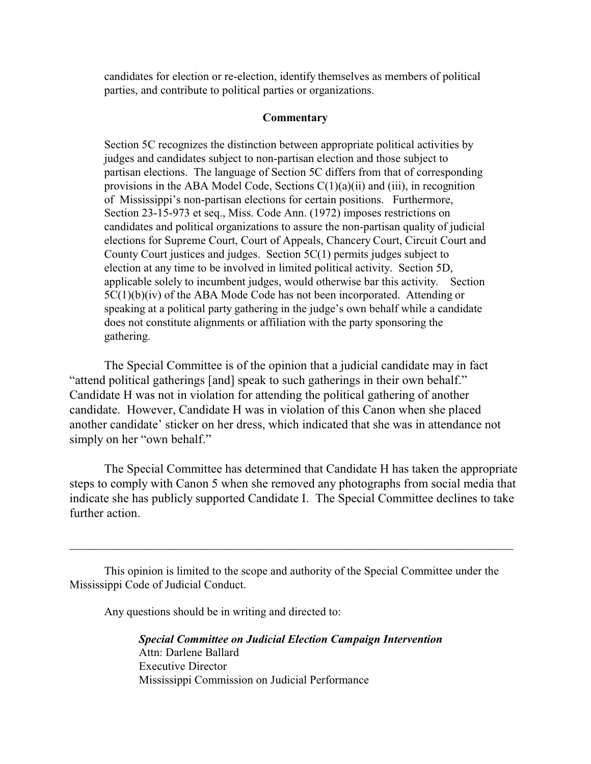candidates for election or re-election, identify themselves as members of political parties, and contribute to political parties or organizations.

## **Commentary**

Section 5C recognizes the distinction between appropriate political activities by judges and candidates subject to non-partisan election and those subject to partisan elections. The language of Section 5C differs from that of corresponding provisions in the ABA Model Code, Sections  $C(1)(a)(ii)$  and (iii), in recognition of Mississippi's non-partisan elections for certain positions. Furthermore, Section 23-15-973 et seq., Miss. Code Ann. (1972) imposes restrictions on candidates and political organizations to assure the non-partisan quality of judicial elections for Supreme Court, Court of Appeals, Chancery Court, Circuit Court and County Court justices and judges. Section 5C(1) permits judges subject to election at any time to be involved in limited political activity. Section 5D, applicable solely to incumbent judges, would otherwise bar this activity. Section 5C(1)(b)(iv) of the ABA Mode Code has not been incorporated. Attending or speaking at a political party gathering in the judge's own behalf while a candidate does not constitute alignments or affiliation with the party sponsoring the gathering.

The Special Committee is of the opinion that a judicial candidate may in fact "attend political gatherings [and] speak to such gatherings in their own behalf." Candidate H was not in violation for attending the political gathering of another candidate. However, Candidate H was in violation of this Canon when she placed another candidate' sticker on her dress, which indicated that she was in attendance not simply on her "own behalf."

The Special Committee has determined that Candidate H has taken the appropriate steps to comply with Canon 5 when she removed any photographs from social media that indicate she has publicly supported Candidate I. The Special Committee declines to take further action.

 $\_$  , and the set of the set of the set of the set of the set of the set of the set of the set of the set of the set of the set of the set of the set of the set of the set of the set of the set of the set of the set of th

This opinion is limited to the scope and authority of the Special Committee under the Mississippi Code of Judicial Conduct.

Any questions should be in writing and directed to:

*Special Committee on Judicial Election Campaign Intervention* Attn: Darlene Ballard Executive Director Mississippi Commission on Judicial Performance